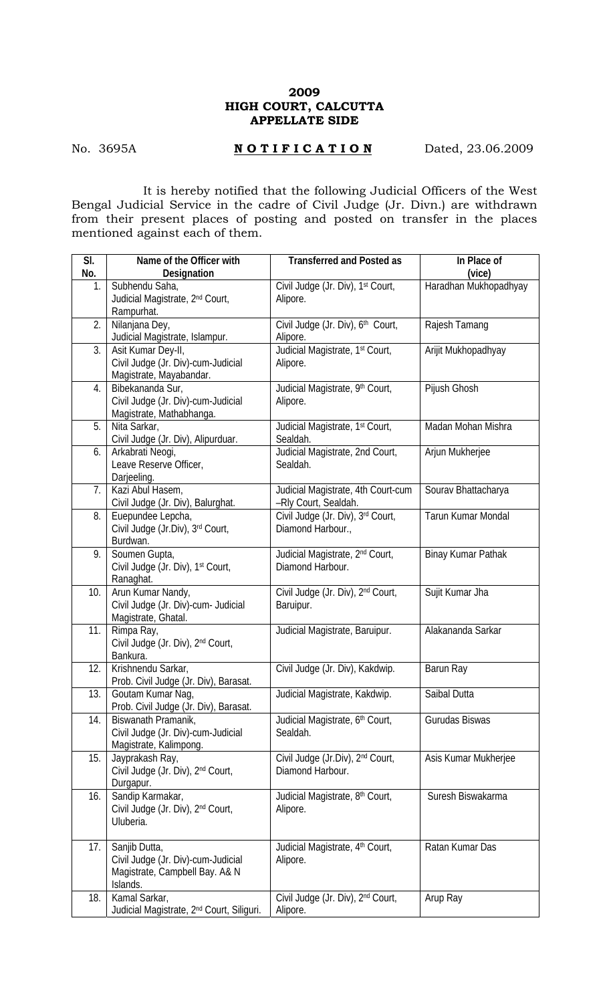## **2009 HIGH COURT, CALCUTTA APPELLATE SIDE**

## No. 3695A **NOTIFICATION** Dated, 23.06.2009

 It is hereby notified that the following Judicial Officers of the West Bengal Judicial Service in the cadre of Civil Judge (Jr. Divn.) are withdrawn from their present places of posting and posted on transfer in the places mentioned against each of them.

| SI. | Name of the Officer with                                                                          | <b>Transferred and Posted as</b>                                 | In Place of           |
|-----|---------------------------------------------------------------------------------------------------|------------------------------------------------------------------|-----------------------|
| No. | Designation                                                                                       |                                                                  | (vice)                |
| 1.  | Subhendu Saha,<br>Judicial Magistrate, 2 <sup>nd</sup> Court,<br>Rampurhat.                       | Civil Judge (Jr. Div), 1st Court,<br>Alipore.                    | Haradhan Mukhopadhyay |
| 2.  | Nilanjana Dey,<br>Judicial Magistrate, Islampur.                                                  | Civil Judge (Jr. Div), 6th Court,<br>Alipore.                    | Rajesh Tamang         |
| 3.  | Asit Kumar Dey-II,<br>Civil Judge (Jr. Div)-cum-Judicial<br>Magistrate, Mayabandar.               | Judicial Magistrate, 1st Court,<br>Alipore.                      | Arijit Mukhopadhyay   |
| 4.  | Bibekananda Sur,<br>Civil Judge (Jr. Div)-cum-Judicial<br>Magistrate, Mathabhanga.                | Judicial Magistrate, 9th Court,<br>Alipore.                      | Pijush Ghosh          |
| 5.  | Nita Sarkar,<br>Civil Judge (Jr. Div), Alipurduar.                                                | Judicial Magistrate, 1 <sup>st</sup> Court,<br>Sealdah.          | Madan Mohan Mishra    |
| 6.  | Arkabrati Neogi,<br>Leave Reserve Officer,<br>Darjeeling.                                         | Judicial Magistrate, 2nd Court,<br>Sealdah.                      | Arjun Mukherjee       |
| 7.  | Kazi Abul Hasem,<br>Civil Judge (Jr. Div), Balurghat.                                             | Judicial Magistrate, 4th Court-cum<br>-Rly Court, Sealdah.       | Sourav Bhattacharya   |
| 8.  | Euepundee Lepcha,<br>Civil Judge (Jr.Div), 3rd Court,<br>Burdwan.                                 | Civil Judge (Jr. Div), 3rd Court,<br>Diamond Harbour.,           | Tarun Kumar Mondal    |
| 9.  | Soumen Gupta,<br>Civil Judge (Jr. Div), 1st Court,<br>Ranaghat.                                   | Judicial Magistrate, 2 <sup>nd</sup> Court,<br>Diamond Harbour.  | Binay Kumar Pathak    |
| 10. | Arun Kumar Nandy,<br>Civil Judge (Jr. Div)-cum- Judicial<br>Magistrate, Ghatal.                   | Civil Judge (Jr. Div), 2 <sup>nd</sup> Court,<br>Baruipur.       | Sujit Kumar Jha       |
| 11. | Rimpa Ray,<br>Civil Judge (Jr. Div), 2nd Court,<br>Bankura.                                       | Judicial Magistrate, Baruipur.                                   | Alakananda Sarkar     |
| 12. | Krishnendu Sarkar,<br>Prob. Civil Judge (Jr. Div), Barasat.                                       | Civil Judge (Jr. Div), Kakdwip.                                  | Barun Ray             |
| 13. | Goutam Kumar Nag,<br>Prob. Civil Judge (Jr. Div), Barasat.                                        | Judicial Magistrate, Kakdwip.                                    | Saibal Dutta          |
| 14. | Biswanath Pramanik,<br>Civil Judge (Jr. Div)-cum-Judicial<br>Magistrate, Kalimpong.               | Judicial Magistrate, 6th Court,<br>Sealdah.                      | Gurudas Biswas        |
| 15. | Jayprakash Ray,<br>Civil Judge (Jr. Div), 2nd Court,<br>Durgapur.                                 | Civil Judge (Jr.Div), 2 <sup>nd</sup> Court,<br>Diamond Harbour. | Asis Kumar Mukherjee  |
| 16. | Sandip Karmakar,<br>Civil Judge (Jr. Div), 2 <sup>nd</sup> Court,<br>Uluberia.                    | Judicial Magistrate, 8 <sup>th</sup> Court,<br>Alipore.          | Suresh Biswakarma     |
| 17. | Sanjib Dutta,<br>Civil Judge (Jr. Div)-cum-Judicial<br>Magistrate, Campbell Bay. A& N<br>Islands. | Judicial Magistrate, 4 <sup>th</sup> Court,<br>Alipore.          | Ratan Kumar Das       |
| 18. | Kamal Sarkar,<br>Judicial Magistrate, 2 <sup>nd</sup> Court, Siliguri.                            | Civil Judge (Jr. Div), 2 <sup>nd</sup> Court,<br>Alipore.        | Arup Ray              |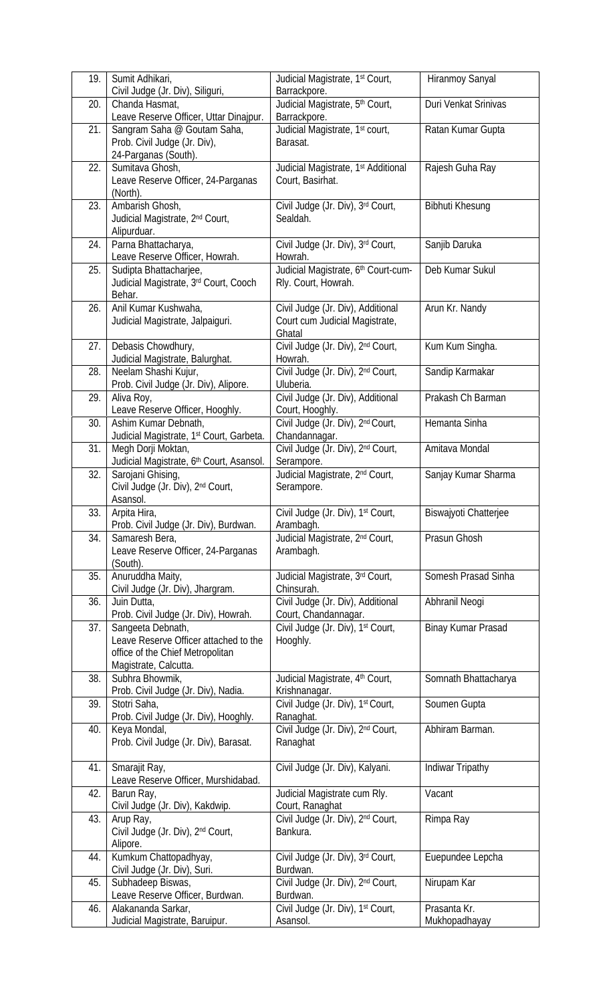| 19. | Sumit Adhikari,                               | Judicial Magistrate, 1 <sup>st</sup> Court,                  | Hiranmoy Sanyal        |
|-----|-----------------------------------------------|--------------------------------------------------------------|------------------------|
|     | Civil Judge (Jr. Div), Siliguri,              | Barrackpore.                                                 |                        |
| 20. | Chanda Hasmat,                                | Judicial Magistrate, 5th Court,                              | Duri Venkat Srinivas   |
|     | Leave Reserve Officer, Uttar Dinajpur.        | Barrackpore.                                                 |                        |
| 21. | Sangram Saha @ Goutam Saha,                   | Judicial Magistrate, 1st court,                              | Ratan Kumar Gupta      |
|     | Prob. Civil Judge (Jr. Div),                  | Barasat.                                                     |                        |
|     | 24-Parganas (South).                          |                                                              |                        |
| 22. | Sumitava Ghosh,                               | Judicial Magistrate, 1 <sup>st</sup> Additional              | Rajesh Guha Ray        |
|     | Leave Reserve Officer, 24-Parganas            | Court, Basirhat.                                             |                        |
|     | (North).                                      |                                                              |                        |
| 23. | Ambarish Ghosh,                               | Civil Judge (Jr. Div), 3rd Court,                            | <b>Bibhuti Khesung</b> |
|     | Judicial Magistrate, 2 <sup>nd</sup> Court,   | Sealdah.                                                     |                        |
|     | Alipurduar.                                   |                                                              |                        |
| 24. | Parna Bhattacharya,                           | Civil Judge (Jr. Div), 3rd Court,                            | Sanjib Daruka          |
|     | Leave Reserve Officer, Howrah.                | Howrah.                                                      |                        |
| 25. | Sudipta Bhattacharjee,                        | Judicial Magistrate, 6th Court-cum-                          | Deb Kumar Sukul        |
|     | Judicial Magistrate, 3rd Court, Cooch         | Rly. Court, Howrah.                                          |                        |
|     | Behar.                                        |                                                              |                        |
| 26. | Anil Kumar Kushwaha,                          | Civil Judge (Jr. Div), Additional                            | Arun Kr. Nandy         |
|     | Judicial Magistrate, Jalpaiguri.              | Court cum Judicial Magistrate,                               |                        |
|     |                                               | Ghatal                                                       |                        |
| 27. | Debasis Chowdhury,                            | Civil Judge (Jr. Div), 2nd Court,                            | Kum Kum Singha.        |
|     | Judicial Magistrate, Balurghat.               | Howrah.                                                      |                        |
| 28. | Neelam Shashi Kujur,                          | Civil Judge (Jr. Div), 2nd Court,                            | Sandip Karmakar        |
|     | Prob. Civil Judge (Jr. Div), Alipore.         | Uluberia.                                                    |                        |
| 29. | Aliva Roy,                                    | Civil Judge (Jr. Div), Additional                            | Prakash Ch Barman      |
|     | Leave Reserve Officer, Hooghly.               | Court, Hooghly.                                              |                        |
| 30. | Ashim Kumar Debnath,                          | Civil Judge (Jr. Div), 2 <sup>nd</sup> Court,                | Hemanta Sinha          |
|     | Judicial Magistrate, 1st Court, Garbeta.      | Chandannagar.                                                |                        |
| 31. | Megh Dorji Moktan,                            | Civil Judge (Jr. Div), 2nd Court,                            | Amitava Mondal         |
|     | Judicial Magistrate, 6th Court, Asansol.      | Serampore.                                                   |                        |
| 32. | Sarojani Ghising,                             | Judicial Magistrate, 2 <sup>nd</sup> Court,                  | Sanjay Kumar Sharma    |
|     | Civil Judge (Jr. Div), 2nd Court,             | Serampore.                                                   |                        |
|     | Asansol.                                      |                                                              |                        |
| 33. | Arpita Hira,                                  | Civil Judge (Jr. Div), 1 <sup>st</sup> Court,                | Biswajyoti Chatterjee  |
|     | Prob. Civil Judge (Jr. Div), Burdwan.         | Arambagh.                                                    |                        |
| 34. | Samaresh Bera,                                | Judicial Magistrate, 2 <sup>nd</sup> Court,                  | Prasun Ghosh           |
|     | Leave Reserve Officer, 24-Parganas            | Arambagh.                                                    |                        |
|     | (South).                                      |                                                              |                        |
| 35. | Anuruddha Maity,                              | Judicial Magistrate, 3rd Court,                              | Somesh Prasad Sinha    |
|     | Civil Judge (Jr. Div), Jhargram.              | Chinsurah.                                                   |                        |
| 36. | Juin Dutta,                                   | Civil Judge (Jr. Div), Additional                            | Abhranil Neogi         |
|     | Prob. Civil Judge (Jr. Div), Howrah.          | Court, Chandannagar.                                         |                        |
| 37. | Sangeeta Debnath,                             | Civil Judge (Jr. Div), 1st Court,                            | Binay Kumar Prasad     |
|     | Leave Reserve Officer attached to the         | Hooghly.                                                     |                        |
|     | office of the Chief Metropolitan              |                                                              |                        |
|     | Magistrate, Calcutta.<br>Subhra Bhowmik,      |                                                              |                        |
| 38. | Prob. Civil Judge (Jr. Div), Nadia.           | Judicial Magistrate, 4 <sup>th</sup> Court,<br>Krishnanagar. | Somnath Bhattacharya   |
| 39. | Stotri Saha,                                  | Civil Judge (Jr. Div), 1st Court,                            | Soumen Gupta           |
|     | Prob. Civil Judge (Jr. Div), Hooghly.         | Ranaghat.                                                    |                        |
| 40. | Keya Mondal,                                  | Civil Judge (Jr. Div), 2nd Court,                            | Abhiram Barman.        |
|     | Prob. Civil Judge (Jr. Div), Barasat.         | Ranaghat                                                     |                        |
|     |                                               |                                                              |                        |
| 41. | Smarajit Ray,                                 | Civil Judge (Jr. Div), Kalyani.                              | Indiwar Tripathy       |
|     | Leave Reserve Officer, Murshidabad.           |                                                              |                        |
| 42. | Barun Ray,                                    | Judicial Magistrate cum Rly.                                 | Vacant                 |
|     | Civil Judge (Jr. Div), Kakdwip.               | Court, Ranaghat                                              |                        |
| 43. | Arup Ray,                                     | Civil Judge (Jr. Div), 2nd Court,                            | Rimpa Ray              |
|     | Civil Judge (Jr. Div), 2 <sup>nd</sup> Court, | Bankura.                                                     |                        |
|     | Alipore.                                      |                                                              |                        |
| 44. | Kumkum Chattopadhyay,                         | Civil Judge (Jr. Div), 3rd Court,                            | Euepundee Lepcha       |
|     | Civil Judge (Jr. Div), Suri.                  | Burdwan.                                                     |                        |
| 45. | Subhadeep Biswas,                             | Civil Judge (Jr. Div), 2nd Court,                            | Nirupam Kar            |
|     | Leave Reserve Officer, Burdwan.               | Burdwan.                                                     |                        |
| 46. | Alakananda Sarkar,                            | Civil Judge (Jr. Div), 1st Court,                            | Prasanta Kr.           |
|     | Judicial Magistrate, Baruipur.                | Asansol.                                                     | Mukhopadhayay          |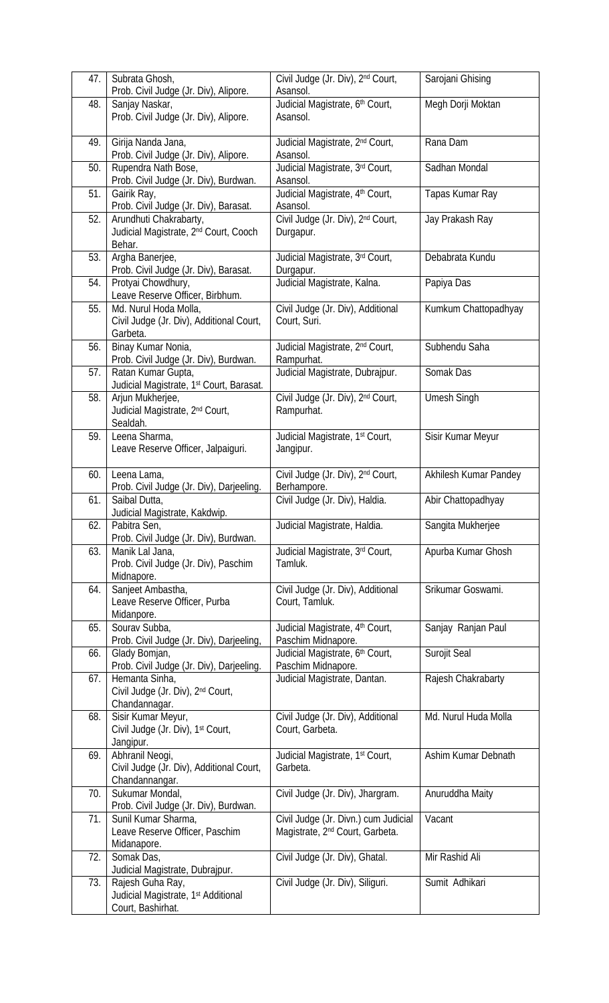| 47. | Subrata Ghosh,<br>Prob. Civil Judge (Jr. Div), Alipore.                                  | Civil Judge (Jr. Div), 2 <sup>nd</sup> Court,<br>Asansol.                           | Sarojani Ghising      |
|-----|------------------------------------------------------------------------------------------|-------------------------------------------------------------------------------------|-----------------------|
| 48. | Sanjay Naskar,                                                                           | Judicial Magistrate, 6th Court,                                                     | Megh Dorji Moktan     |
|     | Prob. Civil Judge (Jr. Div), Alipore.                                                    | Asansol.                                                                            |                       |
| 49. | Girija Nanda Jana,<br>Prob. Civil Judge (Jr. Div), Alipore.                              | Judicial Magistrate, 2 <sup>nd</sup> Court,<br>Asansol.                             | Rana Dam              |
| 50. | Rupendra Nath Bose,<br>Prob. Civil Judge (Jr. Div), Burdwan.                             | Judicial Magistrate, 3rd Court,<br>Asansol.                                         | Sadhan Mondal         |
| 51. | Gairik Ray,<br>Prob. Civil Judge (Jr. Div), Barasat.                                     | Judicial Magistrate, 4th Court,<br>Asansol.                                         | Tapas Kumar Ray       |
| 52. | Arundhuti Chakrabarty,<br>Judicial Magistrate, 2 <sup>nd</sup> Court, Cooch<br>Behar.    | Civil Judge (Jr. Div), 2nd Court,<br>Durgapur.                                      | Jay Prakash Ray       |
| 53. | Argha Banerjee,<br>Prob. Civil Judge (Jr. Div), Barasat.                                 | Judicial Magistrate, 3rd Court,<br>Durgapur.                                        | Debabrata Kundu       |
| 54. | Protyai Chowdhury,<br>Leave Reserve Officer, Birbhum.                                    | Judicial Magistrate, Kalna.                                                         | Papiya Das            |
| 55. | Md. Nurul Hoda Molla,<br>Civil Judge (Jr. Div), Additional Court,<br>Garbeta.            | Civil Judge (Jr. Div), Additional<br>Court, Suri.                                   | Kumkum Chattopadhyay  |
| 56. | Binay Kumar Nonia,<br>Prob. Civil Judge (Jr. Div), Burdwan.                              | Judicial Magistrate, 2 <sup>nd</sup> Court,<br>Rampurhat.                           | Subhendu Saha         |
| 57. | Ratan Kumar Gupta,<br>Judicial Magistrate, 1st Court, Barasat.                           | Judicial Magistrate, Dubrajpur.                                                     | Somak Das             |
| 58. | Arjun Mukherjee,<br>Judicial Magistrate, 2 <sup>nd</sup> Court,<br>Sealdah.              | Civil Judge (Jr. Div), 2nd Court,<br>Rampurhat.                                     | <b>Umesh Singh</b>    |
| 59. | Leena Sharma,<br>Leave Reserve Officer, Jalpaiguri.                                      | Judicial Magistrate, 1 <sup>st</sup> Court,<br>Jangipur.                            | Sisir Kumar Meyur     |
| 60. | Leena Lama,<br>Prob. Civil Judge (Jr. Div), Darjeeling.                                  | Civil Judge (Jr. Div), 2nd Court,<br>Berhampore.                                    | Akhilesh Kumar Pandey |
| 61. | Saibal Dutta,<br>Judicial Magistrate, Kakdwip.                                           | Civil Judge (Jr. Div), Haldia.                                                      | Abir Chattopadhyay    |
| 62. | Pabitra Sen,<br>Prob. Civil Judge (Jr. Div), Burdwan.                                    | Judicial Magistrate, Haldia.                                                        | Sangita Mukherjee     |
| 63. | Manik Lal Jana,<br>Prob. Civil Judge (Jr. Div), Paschim<br>Midnapore.                    | Judicial Magistrate, 3rd Court,<br>Tamluk.                                          | Apurba Kumar Ghosh    |
| 64. | Sanjeet Ambastha,<br>Leave Reserve Officer, Purba<br>Midanpore.                          | Civil Judge (Jr. Div), Additional<br>Court, Tamluk.                                 | Srikumar Goswami.     |
| 65. | Sourav Subba,<br>Prob. Civil Judge (Jr. Div), Darjeeling,                                | Judicial Magistrate, 4th Court,<br>Paschim Midnapore.                               | Sanjay Ranjan Paul    |
| 66. | Glady Bomjan,<br>Prob. Civil Judge (Jr. Div), Darjeeling.                                | Judicial Magistrate, 6th Court,<br>Paschim Midnapore.                               | Surojit Seal          |
| 67. | Hemanta Sinha,<br>Civil Judge (Jr. Div), 2 <sup>nd</sup> Court,<br>Chandannagar.         | Judicial Magistrate, Dantan.                                                        | Rajesh Chakrabarty    |
| 68. | Sisir Kumar Meyur,<br>Civil Judge (Jr. Div), 1st Court,<br>Jangipur.                     | Civil Judge (Jr. Div), Additional<br>Court, Garbeta.                                | Md. Nurul Huda Molla  |
| 69. | Abhranil Neogi,<br>Civil Judge (Jr. Div), Additional Court,<br>Chandannangar.            | Judicial Magistrate, 1st Court,<br>Garbeta.                                         | Ashim Kumar Debnath   |
| 70. | Sukumar Mondal,<br>Prob. Civil Judge (Jr. Div), Burdwan.                                 | Civil Judge (Jr. Div), Jhargram.                                                    | Anuruddha Maity       |
| 71. | Sunil Kumar Sharma,<br>Leave Reserve Officer, Paschim<br>Midanapore.                     | Civil Judge (Jr. Divn.) cum Judicial<br>Magistrate, 2 <sup>nd</sup> Court, Garbeta. | Vacant                |
| 72. | Somak Das,<br>Judicial Magistrate, Dubrajpur.                                            | Civil Judge (Jr. Div), Ghatal.                                                      | Mir Rashid Ali        |
| 73. | Rajesh Guha Ray,<br>Judicial Magistrate, 1 <sup>st</sup> Additional<br>Court, Bashirhat. | Civil Judge (Jr. Div), Siliguri.                                                    | Sumit Adhikari        |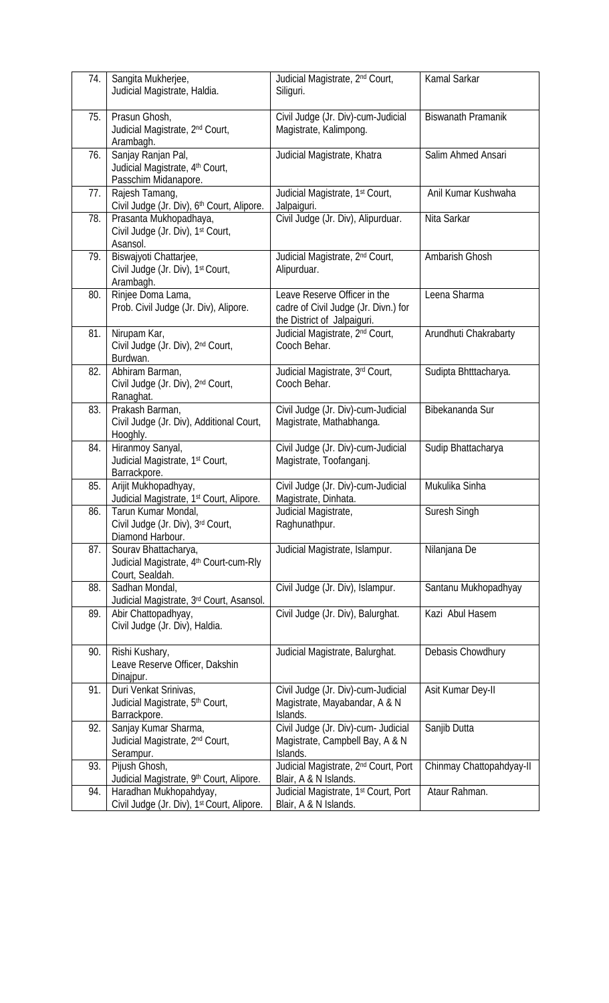| 74. | Sangita Mukherjee,<br>Judicial Magistrate, Haldia.                                | Judicial Magistrate, 2 <sup>nd</sup> Court,<br>Siliguri.                                            | Kamal Sarkar              |
|-----|-----------------------------------------------------------------------------------|-----------------------------------------------------------------------------------------------------|---------------------------|
| 75. | Prasun Ghosh,<br>Judicial Magistrate, 2 <sup>nd</sup> Court,<br>Arambagh.         | Civil Judge (Jr. Div)-cum-Judicial<br>Magistrate, Kalimpong.                                        | <b>Biswanath Pramanik</b> |
| 76. | Sanjay Ranjan Pal,<br>Judicial Magistrate, 4th Court,<br>Passchim Midanapore.     | Judicial Magistrate, Khatra                                                                         | Salim Ahmed Ansari        |
| 77. | Rajesh Tamang,<br>Civil Judge (Jr. Div), 6th Court, Alipore.                      | Judicial Magistrate, 1 <sup>st</sup> Court,<br>Jalpaiguri.                                          | Anil Kumar Kushwaha       |
| 78. | Prasanta Mukhopadhaya,<br>Civil Judge (Jr. Div), 1st Court,<br>Asansol.           | Civil Judge (Jr. Div), Alipurduar.                                                                  | Nita Sarkar               |
| 79. | Biswajyoti Chattarjee,<br>Civil Judge (Jr. Div), 1st Court,<br>Arambagh.          | Judicial Magistrate, 2 <sup>nd</sup> Court,<br>Alipurduar.                                          | Ambarish Ghosh            |
| 80. | Rinjee Doma Lama,<br>Prob. Civil Judge (Jr. Div), Alipore.                        | Leave Reserve Officer in the<br>cadre of Civil Judge (Jr. Divn.) for<br>the District of Jalpaiguri. | Leena Sharma              |
| 81. | Nirupam Kar,<br>Civil Judge (Jr. Div), 2nd Court,<br>Burdwan.                     | Judicial Magistrate, 2 <sup>nd</sup> Court,<br>Cooch Behar.                                         | Arundhuti Chakrabarty     |
| 82. | Abhiram Barman,<br>Civil Judge (Jr. Div), 2 <sup>nd</sup> Court,<br>Ranaghat.     | Judicial Magistrate, 3rd Court,<br>Cooch Behar.                                                     | Sudipta Bhtttacharya.     |
| 83. | Prakash Barman,<br>Civil Judge (Jr. Div), Additional Court,<br>Hooghly.           | Civil Judge (Jr. Div)-cum-Judicial<br>Magistrate, Mathabhanga.                                      | Bibekananda Sur           |
| 84. | Hiranmoy Sanyal,<br>Judicial Magistrate, 1st Court,<br>Barrackpore.               | Civil Judge (Jr. Div)-cum-Judicial<br>Magistrate, Toofanganj.                                       | Sudip Bhattacharya        |
| 85. | Arijit Mukhopadhyay,<br>Judicial Magistrate, 1 <sup>st</sup> Court, Alipore.      | Civil Judge (Jr. Div)-cum-Judicial<br>Magistrate, Dinhata.                                          | Mukulika Sinha            |
| 86. | Tarun Kumar Mondal,<br>Civil Judge (Jr. Div), 3rd Court,<br>Diamond Harbour.      | Judicial Magistrate,<br>Raghunathpur.                                                               | Suresh Singh              |
| 87. | Sourav Bhattacharya,<br>Judicial Magistrate, 4th Court-cum-Rly<br>Court, Sealdah. | Judicial Magistrate, Islampur.                                                                      | Nilanjana De              |
| 88. | Sadhan Mondal,<br>Judicial Magistrate, 3rd Court, Asansol.                        | Civil Judge (Jr. Div), Islampur.                                                                    | Santanu Mukhopadhyay      |
| 89. | Abir Chattopadhyay,<br>Civil Judge (Jr. Div), Haldia.                             | Civil Judge (Jr. Div), Balurghat.                                                                   | Kazi Abul Hasem           |
| 90. | Rishi Kushary,<br>Leave Reserve Officer, Dakshin<br>Dinajpur.                     | Judicial Magistrate, Balurghat.                                                                     | Debasis Chowdhury         |
| 91. | Duri Venkat Srinivas,<br>Judicial Magistrate, 5th Court,<br>Barrackpore.          | Civil Judge (Jr. Div)-cum-Judicial<br>Magistrate, Mayabandar, A & N<br>Islands.                     | Asit Kumar Dey-II         |
| 92. | Sanjay Kumar Sharma,<br>Judicial Magistrate, 2 <sup>nd</sup> Court,<br>Serampur.  | Civil Judge (Jr. Div)-cum- Judicial<br>Magistrate, Campbell Bay, A & N<br>Islands.                  | Sanjib Dutta              |
| 93. | Pijush Ghosh,<br>Judicial Magistrate, 9 <sup>th</sup> Court, Alipore.             | Judicial Magistrate, 2 <sup>nd</sup> Court, Port<br>Blair, A & N Islands.                           | Chinmay Chattopahdyay-II  |
| 94. | Haradhan Mukhopahdyay,<br>Civil Judge (Jr. Div), 1st Court, Alipore.              | Judicial Magistrate, 1 <sup>st</sup> Court, Port<br>Blair, A & N Islands.                           | Ataur Rahman.             |